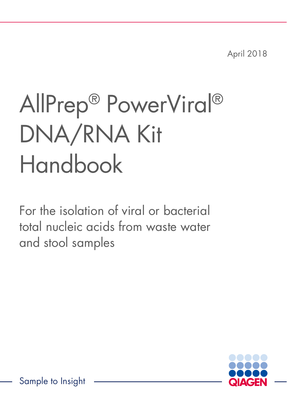April 2018

# AllPrep® PowerViral® DNA/RNA Kit Handbook

For the isolation of viral or bacterial total nucleic acids from waste water and stool samples

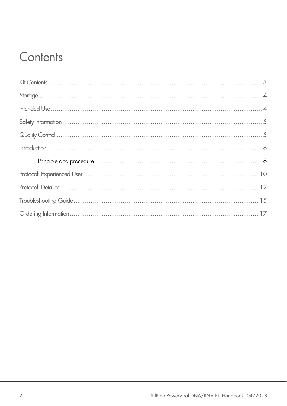### Contents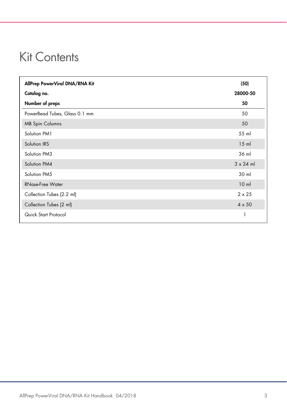#### Kit Contents

| AllPrep PowerViral DNA/RNA Kit | (50)             |
|--------------------------------|------------------|
| Catalog no.                    | 28000-50         |
| Number of preps                | 50               |
| PowerBead Tubes, Glass 0.1 mm  | 50               |
| <b>MB Spin Columns</b>         | 50               |
| Solution PM1                   | 55 ml            |
| Solution IRS                   | $15$ m           |
| Solution PM3                   | 36 ml            |
| Solution PM4                   | $3 \times 24$ ml |
| Solution PM5                   | 30 ml            |
| <b>RNase-Free Water</b>        | 10 <sub>m</sub>  |
| Collection Tubes (2.2 ml)      | $2 \times 25$    |
| Collection Tubes (2 ml)        | $4 \times 50$    |
| Quick Start Protocol           |                  |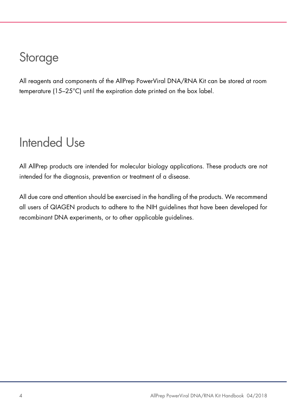### Storage

All reagents and components of the AllPrep PowerViral DNA/RNA Kit can be stored at room temperature (15–25°C) until the expiration date printed on the box label.

### Intended Use

All AllPrep products are intended for molecular biology applications. These products are not intended for the diagnosis, prevention or treatment of a disease.

All due care and attention should be exercised in the handling of the products. We recommend all users of QIAGEN products to adhere to the NIH guidelines that have been developed for recombinant DNA experiments, or to other applicable guidelines.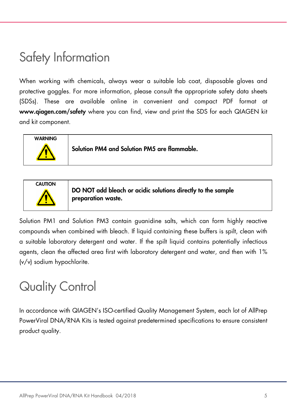### Safety Information

When working with chemicals, always wear a suitable lab coat, disposable gloves and protective goggles. For more information, please consult the appropriate safety data sheets (SDSs). These are available online in convenient and compact PDF format at www.qiagen.com/safety where you can find, view and print the SDS for each QIAGEN kit and kit component.



Solution PM4 and Solution PM5 are flammable.



DO NOT add bleach or acidic solutions directly to the sample preparation waste.

Solution PM1 and Solution PM3 contain guanidine salts, which can form highly reactive compounds when combined with bleach. If liquid containing these buffers is spilt, clean with a suitable laboratory detergent and water. If the spilt liquid contains potentially infectious agents, clean the affected area first with laboratory detergent and water, and then with 1% (v/v) sodium hypochlorite.

### Quality Control

In accordance with QIAGEN's ISO-certified Quality Management System, each lot of AllPrep PowerViral DNA/RNA Kits is tested against predetermined specifications to ensure consistent product quality.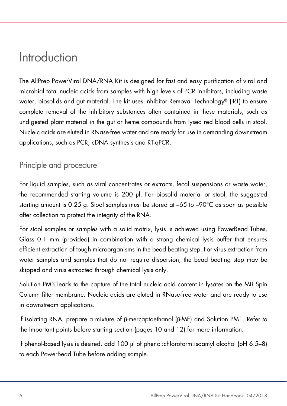#### Introduction

The AllPrep PowerViral DNA/RNA Kit is designed for fast and easy purification of viral and microbial total nucleic acids from samples with high levels of PCR inhibitors, including waste water, biosolids and gut material. The kit uses Inhibitor Removal Technology® (IRT) to ensure complete removal of the inhibitory substances often contained in these materials, such as undigested plant material in the gut or heme compounds from lysed red blood cells in stool. Nucleic acids are eluted in RNase-free water and are ready for use in demanding downstream applications, such as PCR, cDNA synthesis and RT-qPCR.

#### Principle and procedure

For liquid samples, such as viral concentrates or extracts, fecal suspensions or waste water, the recommended starting volume is 200 µl. For biosolid material or stool, the suggested starting amount is 0.25 g. Stool samples must be stored at –65 to –90°C as soon as possible after collection to protect the integrity of the RNA.

For stool samples or samples with a solid matrix, lysis is achieved using PowerBead Tubes, Glass 0.1 mm (provided) in combination with a strong chemical lysis buffer that ensures efficient extraction of tough microorganisms in the bead beating step. For virus extraction from water samples and samples that do not require dispersion, the bead beating step may be skipped and virus extracted through chemical lysis only.

Solution PM3 leads to the capture of the total nucleic acid content in lysates on the MB Spin Column filter membrane. Nucleic acids are eluted in RNase-free water and are ready to use in downstream applications.

If isolating RNA, prepare a mixture of β-mercaptoethanol (β-ME) and Solution PM1. Refer to the Important points before starting section (pages 10 and 12) for more information.

If phenol-based lysis is desired, add 100 μl of phenol:chloroform:isoamyl alcohol (pH 6.5–8) to each PowerBead Tube before adding sample.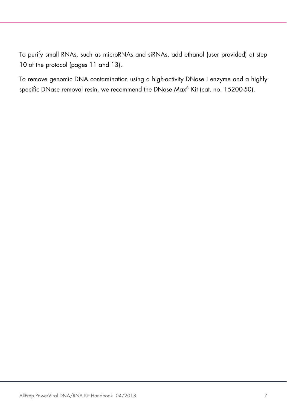To purify small RNAs, such as microRNAs and siRNAs, add ethanol (user provided) at step 10 of the protocol (pages 11 and 13).

To remove genomic DNA contamination using a high-activity DNase I enzyme and a highly specific DNase removal resin, we recommend the DNase Max® Kit (cat. no. 15200-50).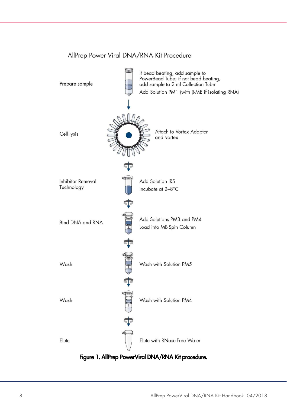

#### AllPrep Power Viral DNA/RNA Kit Procedure

Figure 1. AllPrep PowerViral DNA/RNA Kit procedure.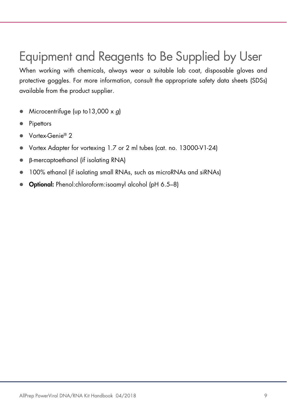### Equipment and Reagents to Be Supplied by User

When working with chemicals, always wear a suitable lab coat, disposable gloves and protective goggles. For more information, consult the appropriate safety data sheets (SDSs) available from the product supplier.

- $\bullet$  Microcentrifuge (up to 13,000 x q)
- Pipettors
- Vortex-Genie® 2
- Vortex Adapter for vortexing 1.7 or 2 ml tubes (cat. no. 13000-V1-24)
- β-mercaptoethanol (if isolating RNA)
- 100% ethanol (if isolating small RNAs, such as microRNAs and siRNAs)
- Optional: Phenol:chloroform:isoamyl alcohol (pH 6.5–8)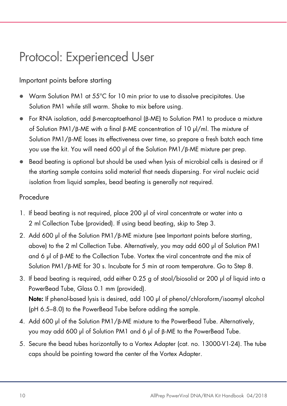### Protocol: Experienced User

#### Important points before starting

- Warm Solution PM1 at 55°C for 10 min prior to use to dissolve precipitates. Use Solution PM1 while still warm. Shake to mix before using.
- For RNA isolation, add β-mercaptoethanol (β-ME) to Solution PM1 to produce a mixture of Solution PM1/β-ME with a final β-ME concentration of 10 µl/ml. The mixture of Solution PM1/β-ME loses its effectiveness over time, so prepare a fresh batch each time you use the kit. You will need 600 µl of the Solution PM1/β-ME mixture per prep.
- $\bullet$  Bead beating is optional but should be used when lysis of microbial cells is desired or if the starting sample contains solid material that needs dispersing. For viral nucleic acid isolation from liquid samples, bead beating is generally not required.

#### Procedure

- 1. If bead beating is not required, place 200 µl of viral concentrate or water into a 2 ml Collection Tube (provided). If using bead beating, skip to Step 3.
- 2. Add 600 µl of the Solution PM1/ $\beta$ -ME mixture (see Important points before starting, above) to the 2 ml Collection Tube. Alternatively, you may add 600 µl of Solution PM1 and 6 µl of β-ME to the Collection Tube. Vortex the viral concentrate and the mix of Solution PM1/β-ME for 30 s. Incubate for 5 min at room temperature. Go to Step 8.
- 3. If bead beating is required, add either 0.25 g of stool/biosolid or 200 µl of liquid into a PowerBead Tube, Glass 0.1 mm (provided). Note: If phenol-based lysis is desired, add 100 µl of phenol/chloroform/isoamyl alcohol (pH 6.5–8.0) to the PowerBead Tube before adding the sample.
- 4. Add 600 µl of the Solution PM1/β-ME mixture to the PowerBead Tube. Alternatively, you may add 600 µl of Solution PM1 and 6 µl of β-ME to the PowerBead Tube.
- 5. Secure the bead tubes horizontally to a Vortex Adapter (cat. no. 13000-V1-24). The tube caps should be pointing toward the center of the Vortex Adapter.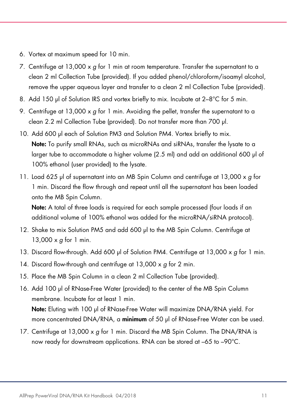- 6. Vortex at maximum speed for 10 min.
- 7. Centrifuge at 13,000  $\times g$  for 1 min at room temperature. Transfer the supernatant to a clean 2 ml Collection Tube (provided). If you added phenol/chloroform/isoamyl alcohol, remove the upper aqueous layer and transfer to a clean 2 ml Collection Tube (provided).
- 8. Add 150 µl of Solution IRS and vortex briefly to mix. Incubate at 2-8°C for 5 min.
- 9. Centrifuge at 13,000  $\times$  g for 1 min. Avoiding the pellet, transfer the supernatant to a clean 2.2 ml Collection Tube (provided). Do not transfer more than 700 µl.
- 10. Add 600 µl each of Solution PM3 and Solution PM4. Vortex briefly to mix. Note: To purify small RNAs, such as microRNAs and siRNAs, transfer the lysate to a larger tube to accommodate a higher volume (2.5 ml) and add an additional 600 µl of 100% ethanol (user provided) to the lysate.
- 11. Load 625 µl of supernatant into an MB Spin Column and centrifuge at 13,000 x g for 1 min. Discard the flow through and repeat until all the supernatant has been loaded onto the MB Spin Column.

Note: A total of three loads is required for each sample processed (four loads if an additional volume of 100% ethanol was added for the microRNA/siRNA protocol).

- 12. Shake to mix Solution PM5 and add 600 µl to the MB Spin Column. Centrifuge at 13,000  $\times$  g for 1 min.
- 13. Discard flow-through. Add 600 µl of Solution PM4. Centrifuge at 13,000 x q for 1 min.
- 14. Discard flow-through and centrifuge at 13,000 x q for 2 min.
- 15. Place the MB Spin Column in a clean 2 ml Collection Tube (provided).
- 16. Add 100 µl of RNase-Free Water (provided) to the center of the MB Spin Column membrane. Incubate for at least 1 min.

Note: Eluting with 100 µl of RNase-Free Water will maximize DNA/RNA yield. For more concentrated DNA/RNA, a minimum of 50 µl of RNase-Free Water can be used.

17. Centrifuge at 13,000  $\times$  g for 1 min. Discard the MB Spin Column. The DNA/RNA is now ready for downstream applications. RNA can be stored at –65 to –90°C.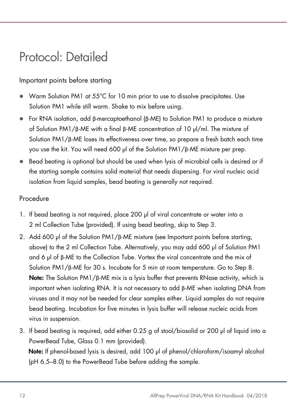#### Protocol: Detailed

#### Important points before starting

- Warm Solution PM1 at 55°C for 10 min prior to use to dissolve precipitates. Use Solution PM1 while still warm. Shake to mix before using.
- For RNA isolation, add β-mercaptoethanol (β-ME) to Solution PM1 to produce a mixture of Solution PM1/β-ME with a final β-ME concentration of 10 µl/ml. The mixture of Solution PM1/β-ME loses its effectiveness over time, so prepare a fresh batch each time you use the kit. You will need 600 µl of the Solution PM1/β-ME mixture per prep.
- **Bead beating is optional but should be used when lysis of microbial cells is desired or if** the starting sample contains solid material that needs dispersing. For viral nucleic acid isolation from liquid samples, bead beating is generally not required.

#### Procedure

- 1. If bead beating is not required, place 200 µl of viral concentrate or water into a 2 ml Collection Tube (provided). If using bead beating, skip to Step 3.
- 2. Add 600 µl of the Solution PM1/β-ME mixture (see Important points before starting, above) to the 2 ml Collection Tube. Alternatively, you may add 600 µl of Solution PM1 and 6 µl of β-ME to the Collection Tube. Vortex the viral concentrate and the mix of Solution PM1/β-ME for 30 s. Incubate for 5 min at room temperature. Go to Step 8. Note: The Solution PM1/β-ME mix is a lysis buffer that prevents RNase activity, which is important when isolating RNA. It is not necessary to add β-ME when isolating DNA from viruses and it may not be needed for clear samples either. Liquid samples do not require bead beating. Incubation for five minutes in lysis buffer will release nucleic acids from virus in suspension.
- 3. If bead beating is required, add either 0.25 g of stool/biosolid or 200 µl of liquid into a PowerBead Tube, Glass 0.1 mm (provided). Note: If phenol-based lysis is desired, add 100 µl of phenol/chloroform/isoamyl alcohol (pH 6.5–8.0) to the PowerBead Tube before adding the sample.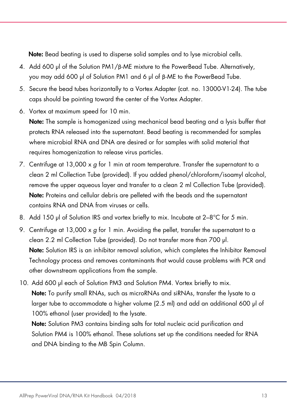Note: Bead beating is used to disperse solid samples and to lyse microbial cells.

- 4. Add 600 µl of the Solution PM1/β-ME mixture to the PowerBead Tube. Alternatively, you may add 600 µl of Solution PM1 and 6 µl of β-ME to the PowerBead Tube.
- 5. Secure the bead tubes horizontally to a Vortex Adapter (cat. no. 13000-V1-24). The tube caps should be pointing toward the center of the Vortex Adapter.
- 6. Vortex at maximum speed for 10 min.

Note: The sample is homogenized using mechanical bead beating and a lysis buffer that protects RNA released into the supernatant. Bead beating is recommended for samples where microbial RNA and DNA are desired or for samples with solid material that requires homogenization to release virus particles.

- 7. Centrifuge at 13,000  $\times$  g for 1 min at room temperature. Transfer the supernatant to a clean 2 ml Collection Tube (provided). If you added phenol/chloroform/isoamyl alcohol, remove the upper aqueous layer and transfer to a clean 2 ml Collection Tube (provided). Note: Proteins and cellular debris are pelleted with the beads and the supernatant contains RNA and DNA from viruses or cells.
- 8. Add 150 µl of Solution IRS and vortex briefly to mix. Incubate at 2-8°C for 5 min.
- 9. Centrifuge at 13,000 x  $q$  for 1 min. Avoiding the pellet, transfer the supernatant to a clean 2.2 ml Collection Tube (provided). Do not transfer more than 700 µl. Note: Solution IRS is an inhibitor removal solution, which completes the Inhibitor Removal Technology process and removes contaminants that would cause problems with PCR and other downstream applications from the sample.
- 10. Add 600 µl each of Solution PM3 and Solution PM4. Vortex briefly to mix. Note: To purify small RNAs, such as microRNAs and siRNAs, transfer the lysate to a larger tube to accommodate a higher volume (2.5 ml) and add an additional 600 µl of 100% ethanol (user provided) to the lysate.

Note: Solution PM3 contains binding salts for total nucleic acid purification and Solution PM4 is 100% ethanol. These solutions set up the conditions needed for RNA and DNA binding to the MB Spin Column.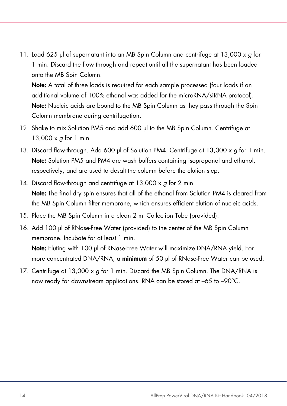11. Load 625 µl of supernatant into an MB Spin Column and centrifuge at 13,000 x g for 1 min. Discard the flow through and repeat until all the supernatant has been loaded onto the MB Spin Column.

Note: A total of three loads is required for each sample processed (four loads if an additional volume of 100% ethanol was added for the microRNA/siRNA protocol). Note: Nucleic acids are bound to the MB Spin Column as they pass through the Spin Column membrane during centrifugation.

- 12. Shake to mix Solution PM5 and add 600 µl to the MB Spin Column. Centrifuge at 13,000 x *a* for 1 min.
- 13. Discard flow-through. Add 600 µl of Solution PM4. Centrifuge at 13,000 x g for 1 min. Note: Solution PM5 and PM4 are wash buffers containing isopropanol and ethanol, respectively, and are used to desalt the column before the elution step.
- 14. Discard flow-through and centrifuge at 13,000 x q for 2 min. Note: The final dry spin ensures that all of the ethanol from Solution PM4 is cleared from the MB Spin Column filter membrane, which ensures efficient elution of nucleic acids.
- 15. Place the MB Spin Column in a clean 2 ml Collection Tube (provided).
- 16. Add 100 µl of RNase-Free Water (provided) to the center of the MB Spin Column membrane. Incubate for at least 1 min.

Note: Eluting with 100 µl of RNase-Free Water will maximize DNA/RNA yield. For more concentrated DNA/RNA, a minimum of 50 µl of RNase-Free Water can be used.

17. Centrifuge at 13,000  $\times$  g for 1 min. Discard the MB Spin Column. The DNA/RNA is now ready for downstream applications. RNA can be stored at –65 to –90°C.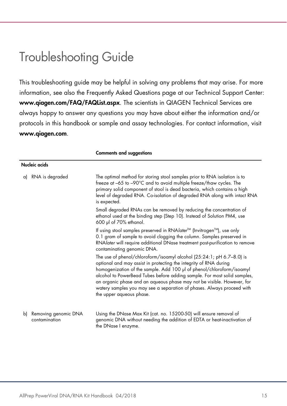### Troubleshooting Guide

This troubleshooting guide may be helpful in solving any problems that may arise. For more information, see also the Frequently Asked Questions page at our Technical Support Center: www.qiagen.com/FAQ/FAQList.aspx. The scientists in QIAGEN Technical Services are always happy to answer any questions you may have about either the information and/or protocols in this handbook or sample and assay technologies. For contact information, visit www.qiagen.com.

|    |                                       | <b>Comments and suggestions</b>                                                                                                                                                                                                                                                                                                                                                                                                                                                 |
|----|---------------------------------------|---------------------------------------------------------------------------------------------------------------------------------------------------------------------------------------------------------------------------------------------------------------------------------------------------------------------------------------------------------------------------------------------------------------------------------------------------------------------------------|
|    | Nucleic acids                         |                                                                                                                                                                                                                                                                                                                                                                                                                                                                                 |
| a) | RNA is degraded                       | The optimal method for storing stool samples prior to RNA isolation is to<br>freeze at -65 to -90°C and to avoid multiple freeze/thaw cycles. The<br>primary solid component of stool is dead bacteria, which contains a high<br>level of degraded RNA. Co-isolation of degraded RNA along with intact RNA<br>is expected.                                                                                                                                                      |
|    |                                       | Small degraded RNAs can be removed by reducing the concentration of<br>ethanol used at the binding step (Step 10). Instead of Solution PM4, use<br>600 µl of 70% ethanol.                                                                                                                                                                                                                                                                                                       |
|    |                                       | If using stool samples preserved in RNA later <sup>™</sup> (Invitrogen <sup>™</sup> ), use only<br>0.1 gram of sample to avoid clogging the column. Samples preserved in<br>RNAlater will require additional DNase treatment post-purification to remove<br>contaminating genomic DNA.                                                                                                                                                                                          |
|    |                                       | The use of phenol/chloroform/isoamyl alcohol (25:24:1; pH 6.7-8.0) is<br>optional and may assist in protecting the integrity of RNA during<br>homogenization of the sample. Add 100 µl of phenol/chloroform/isoamyl<br>alcohol to PowerBead Tubes before adding sample. For most solid samples,<br>an organic phase and an aqueous phase may not be visible. However, for<br>watery samples you may see a separation of phases. Always proceed with<br>the upper aqueous phase. |
| b) | Removing genomic DNA<br>contamination | Using the DNase Max Kit (cat. no. 15200-50) will ensure removal of<br>genomic DNA without needing the addition of EDTA or heat-inactivation of<br>the DNase I enzyme.                                                                                                                                                                                                                                                                                                           |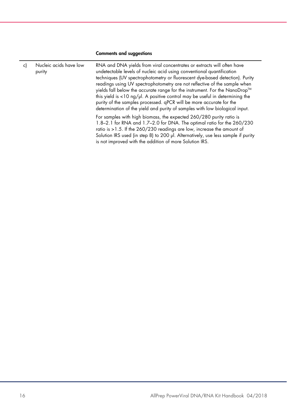#### Comments and suggestions

| c) | Nucleic acids have low<br>purity | RNA and DNA yields from viral concentrates or extracts will often have<br>undetectable levels of nucleic acid using conventional quantification<br>techniques (UV spectrophotometry or fluorescent dye-based detection). Purity<br>readings using UV spectrophotometry are not reflective of the sample when<br>yields fall below the accurate range for the instrument. For the NanoDrop™<br>this yield is $<$ 10 ng/ $\mu$ l. A positive control may be useful in determining the<br>purity of the samples processed. qPCR will be more accurate for the<br>determination of the yield and purity of samples with low biological input. |
|----|----------------------------------|-------------------------------------------------------------------------------------------------------------------------------------------------------------------------------------------------------------------------------------------------------------------------------------------------------------------------------------------------------------------------------------------------------------------------------------------------------------------------------------------------------------------------------------------------------------------------------------------------------------------------------------------|
|    |                                  | For samples with high biomass, the expected 260/280 purity ratio is<br>1.8-2.1 for RNA and 1.7-2.0 for DNA. The optimal ratio for the 260/230<br>ratio is >1.5. If the 260/230 readings are low, increase the amount of<br>Solution IRS used (in step 8) to 200 µl. Alternatively, use less sample if purity<br>is not improved with the addition of more Solution IRS.                                                                                                                                                                                                                                                                   |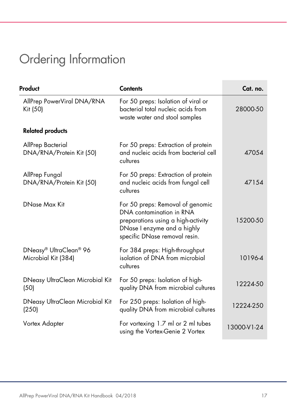## Ordering Information

| Product                                       | <b>Contents</b>                                                                                                                                                    | Cat. no.    |
|-----------------------------------------------|--------------------------------------------------------------------------------------------------------------------------------------------------------------------|-------------|
| AllPrep PowerViral DNA/RNA<br>Kit (50)        | For 50 preps: Isolation of viral or<br>bacterial total nucleic acids from<br>waste water and stool samples                                                         | 28000-50    |
| <b>Related products</b>                       |                                                                                                                                                                    |             |
| AllPrep Bacterial<br>DNA/RNA/Protein Kit (50) | For 50 preps: Extraction of protein<br>and nucleic acids from bacterial cell<br>cultures                                                                           | 47054       |
| AllPrep Fungal<br>DNA/RNA/Protein Kit (50)    | For 50 preps: Extraction of protein<br>and nucleic acids from fungal cell<br>cultures                                                                              | 47154       |
| DNase Max Kit                                 | For 50 preps: Removal of genomic<br>DNA contamination in RNA<br>preparations using a high-activity<br>DNase I enzyme and a highly<br>specific DNase removal resin. | 15200-50    |
| DNeasy® UltraClean® 96<br>Microbial Kit (384) | For 384 preps: High-throughput<br>isolation of DNA from microbial<br>cultures                                                                                      | 10196-4     |
| DNeasy UltraClean Microbial Kit<br>(50)       | For 50 preps: Isolation of high-<br>quality DNA from microbial cultures                                                                                            | 12224-50    |
| DNeasy UltraClean Microbial Kit<br>(250)      | For 250 preps: Isolation of high-<br>quality DNA from microbial cultures                                                                                           | 12224-250   |
| Vortex Adapter                                | For vortexing 1.7 ml or 2 ml tubes<br>using the Vortex-Genie 2 Vortex                                                                                              | 13000-V1-24 |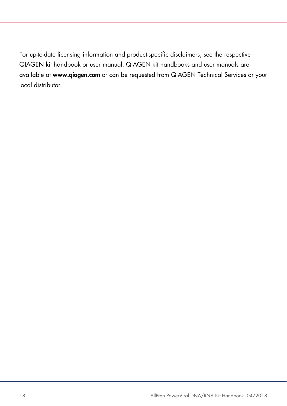For up-to-date licensing information and product-specific disclaimers, see the respective QIAGEN kit handbook or user manual. QIAGEN kit handbooks and user manuals are available at www.qiagen.com or can be requested from QIAGEN Technical Services or your local distributor.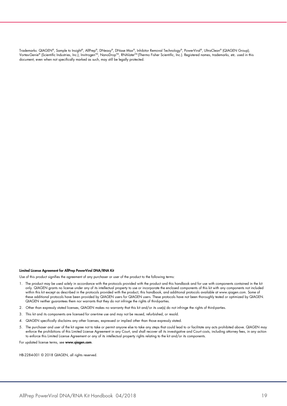Trademarks: QIAGEN®, Sample to Insight®, AllPrep®, DNeasy®, DNase Max®, Inhibitor Removal Technology®, PowerViral®, UltraClean® (QIAGEN Group); Vortex-Genie® (Scientific Industries, Inc.); Invitrogen™, NanoDrop™, RNA*later*™ (Thermo Fisher Scientific, Inc.). Registered names, trademarks, etc. used in this document, even when not specifically marked as such, may still be legally protected.

#### Limited License Agreement for AllPrep PowerViral DNA/RNA Kit

Use of this product signifies the agreement of any purchaser or user of the product to the following terms:

- 1. The product may be used solely in accordance with the protocols provided with the product and this handbook and for use with components contained in the kit only. QIAGEN grants no license under any of its intellectual property to use or incorporate the enclosed components of this kit with any components not included within this kit except as described in the protocols provided with the product, this handbook, and additional protocols available at www.qiagen.com. Some of these additional protocols have been provided by QIAGEN users for QIAGEN users. These protocols have not been thoroughly tested or optimized by QIAGEN. QIAGEN neither guarantees them nor warrants that they do not infringe the rights of third-parties.
- 2. Other than expressly stated licenses, QIAGEN makes no warranty that this kit and/or its use(s) do not infringe the rights of third-parties.
- 3. This kit and its components are licensed for one-time use and may not be reused, refurbished, or resold.
- 4. QIAGEN specifically disclaims any other licenses, expressed or implied other than those expressly stated.
- 5. The purchaser and user of the kit agree not to take or permit anyone else to take any steps that could lead to or facilitate any acts prohibited above. QIAGEN may enforce the prohibitions of this Limited License Agreement in any Court, and shall recover all its investigative and Court costs, including attorney fees, in any action to enforce this Limited License Agreement or any of its intellectual property rights relating to the kit and/or its components.

For updated license terms, see www.qiagen.com.

HB-2284-001 © 2018 QIAGEN, all rights reserved.